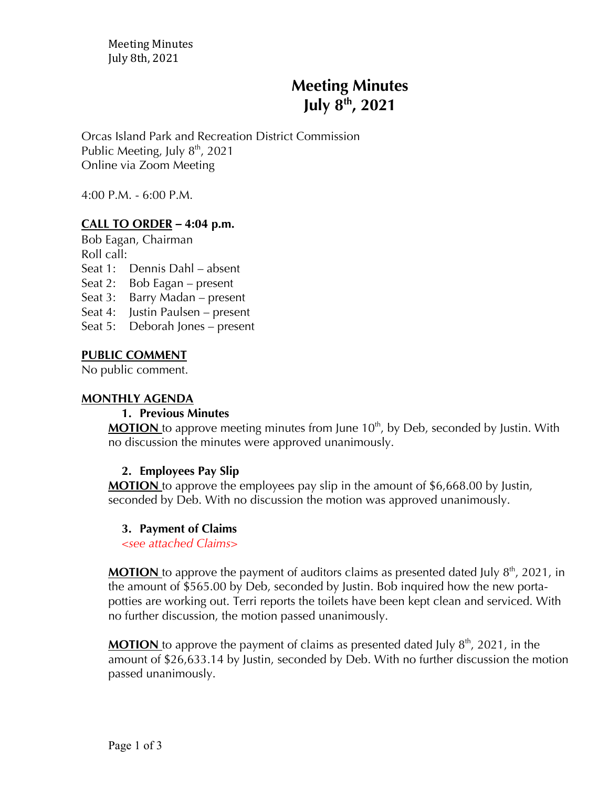Meeting Minutes July 8th, 2021

# **Meeting Minutes July 8th , 2021**

Orcas Island Park and Recreation District Commission Public Meeting, July 8<sup>th</sup>, 2021 Online via Zoom Meeting

4:00 P.M. - 6:00 P.M.

# **CALL TO ORDER** *–* **4:04 p.m.**

Bob Eagan, Chairman

Roll call:

Seat 1: Dennis Dahl – absent

Seat 2: Bob Eagan – present

Seat 3: Barry Madan – present

Seat 4: Justin Paulsen – present

Seat 5: Deborah Jones – present

### **PUBLIC COMMENT**

No public comment.

#### **MONTHLY AGENDA**

#### **1. Previous Minutes**

**MOTION** to approve meeting minutes from June 10<sup>th</sup>, by Deb, seconded by Justin. With no discussion the minutes were approved unanimously.

#### **2. Employees Pay Slip**

**MOTION** to approve the employees pay slip in the amount of \$6,668.00 by Justin, seconded by Deb. With no discussion the motion was approved unanimously.

#### **3. Payment of Claims**

*<see attached Claims>*

**MOTION** to approve the payment of auditors claims as presented dated July  $8<sup>th</sup>$ , 2021, in the amount of \$565.00 by Deb, seconded by Justin. Bob inquired how the new portapotties are working out. Terri reports the toilets have been kept clean and serviced. With no further discussion, the motion passed unanimously.

**MOTION** to approve the payment of claims as presented dated July  $8<sup>th</sup>$ , 2021, in the amount of \$26,633.14 by Justin, seconded by Deb. With no further discussion the motion passed unanimously.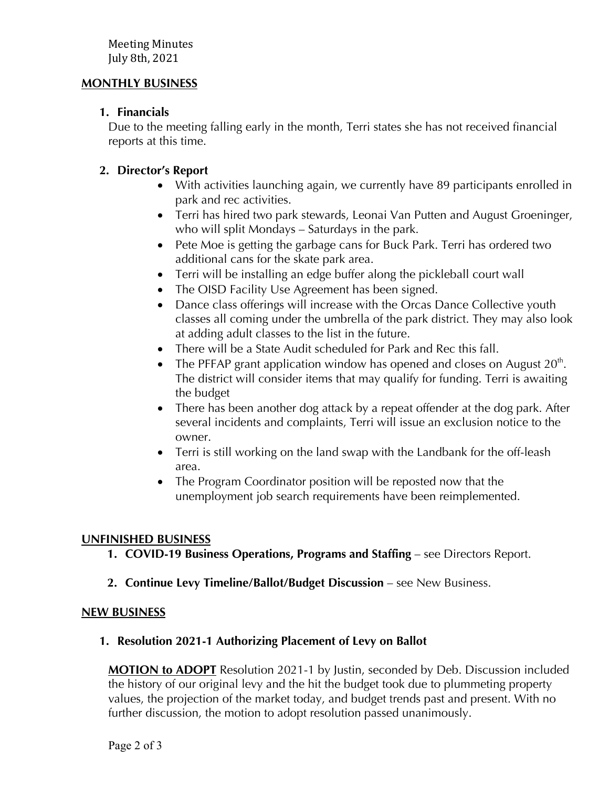## **MONTHLY BUSINESS**

# **1. Financials**

Due to the meeting falling early in the month, Terri states she has not received financial reports at this time.

# **2. Director's Report**

- With activities launching again, we currently have 89 participants enrolled in park and rec activities.
- Terri has hired two park stewards, Leonai Van Putten and August Groeninger, who will split Mondays – Saturdays in the park.
- Pete Moe is getting the garbage cans for Buck Park. Terri has ordered two additional cans for the skate park area.
- Terri will be installing an edge buffer along the pickleball court wall
- The OISD Facility Use Agreement has been signed.
- Dance class offerings will increase with the Orcas Dance Collective youth classes all coming under the umbrella of the park district. They may also look at adding adult classes to the list in the future.
- There will be a State Audit scheduled for Park and Rec this fall.
- The PFFAP grant application window has opened and closes on August  $20<sup>th</sup>$ . The district will consider items that may qualify for funding. Terri is awaiting the budget
- There has been another dog attack by a repeat offender at the dog park. After several incidents and complaints, Terri will issue an exclusion notice to the owner.
- Terri is still working on the land swap with the Landbank for the off-leash area.
- The Program Coordinator position will be reposted now that the unemployment job search requirements have been reimplemented.

# **UNFINISHED BUSINESS**

- **1. COVID-19 Business Operations, Programs and Staffing see Directors Report.**
- **2. Continue Levy Timeline/Ballot/Budget Discussion** see New Business.

# **NEW BUSINESS**

# **1. Resolution 2021-1 Authorizing Placement of Levy on Ballot**

**MOTION to ADOPT** Resolution 2021-1 by Justin, seconded by Deb. Discussion included the history of our original levy and the hit the budget took due to plummeting property values, the projection of the market today, and budget trends past and present. With no further discussion, the motion to adopt resolution passed unanimously.